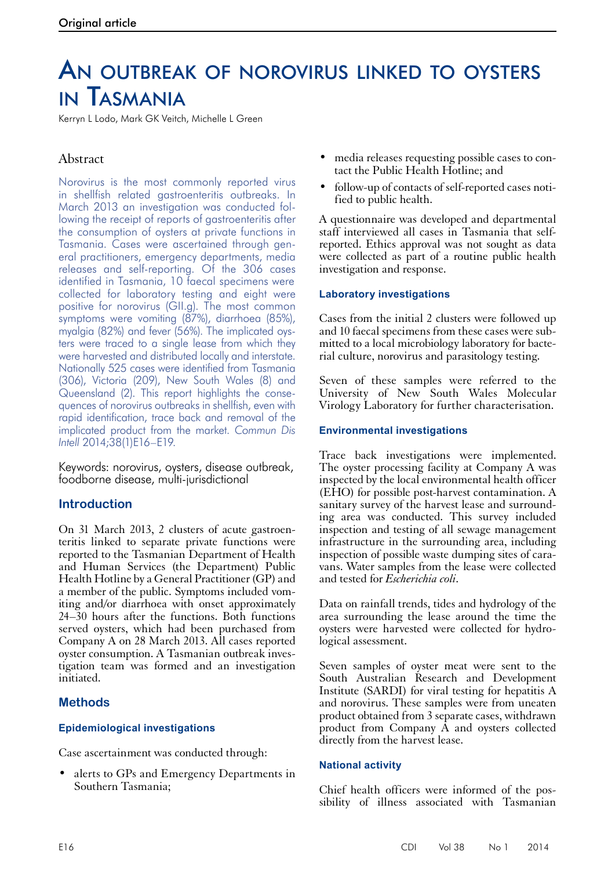# An outbreak of norovirus linked to oysters in Tasmania

Kerryn L Lodo, Mark GK Veitch, Michelle L Green

# Abstract

Norovirus is the most commonly reported virus in shellfish related gastroenteritis outbreaks. In March 2013 an investigation was conducted following the receipt of reports of gastroenteritis after the consumption of oysters at private functions in Tasmania. Cases were ascertained through general practitioners, emergency departments, media releases and self-reporting. Of the 306 cases identified in Tasmania, 10 faecal specimens were collected for laboratory testing and eight were positive for norovirus (GII.g). The most common symptoms were vomiting (87%), diarrhoea (85%), myalgia (82%) and fever (56%). The implicated oysters were traced to a single lease from which they were harvested and distributed locally and interstate. Nationally 525 cases were identified from Tasmania (306), Victoria (209), New South Wales (8) and Queensland (2). This report highlights the consequences of norovirus outbreaks in shellfish, even with rapid identification, trace back and removal of the implicated product from the market. *Commun Dis Intell* 2014;38(1)E16–E19.

Keywords: norovirus, oysters, disease outbreak, foodborne disease, multi-jurisdictional

# **Introduction**

On 31 March 2013, 2 clusters of acute gastroen- teritis linked to separate private functions were reported to the Tasmanian Department of Health and Human Services (the Department) Public Health Hotline by a General Practitioner (GP) and a member of the public. Symptoms included vom- iting and/or diarrhoea with onset approximately 24–30 hours after the functions. Both functions served oysters, which had been purchased from Company A on 28 March 2013. All cases reported oyster consumption. A Tasmanian outbreak inves- tigation team was formed and an investigation initiated.

# **Methods**

# **Epidemiological investigations**

Case ascertainment was conducted through:

• alerts to GPs and Emergency Departments in Southern Tasmania;

- media releases requesting possible cases to con- tact the Public Health Hotline; and
- follow-up of contacts of self-reported cases notified to public health.

A questionnaire was developed and departmental staff interviewed all cases in Tasmania that selfreported. Ethics approval was not sought as data were collected as part of a routine public health investigation and response.

### **Laboratory investigations**

Cases from the initial 2 clusters were followed up and 10 faecal specimens from these cases were submitted to a local microbiology laboratory for bacterial culture, norovirus and parasitology testing.

Seven of these samples were referred to the University of New South Wales Molecular Virology Laboratory for further characterisation.

#### **Environmental investigations**

Trace back investigations were implemented. The oyster processing facility at Company A was inspected by the local environmental health officer (EHO) for possible post-harvest contamination. A sanitary survey of the harvest lease and surround-<br>ing area was conducted. This survey included inspection and testing of all sewage management infrastructure in the surrounding area, including inspection of possible waste dumping sites of cara- vans. Water samples from the lease were collected and tested for *Escherichia coli*.

Data on rainfall trends, tides and hydrology of the area surrounding the lease around the time the oysters were harvested were collected for hydro- logical assessment.

Seven samples of oyster meat were sent to the South Australian Research and Development Institute (SARDI) for viral testing for hepatitis A and norovirus. These samples were from uneaten product obtained from 3 separate cases, withdrawn product from Company  $\hat{A}$  and oysters collected directly from the harvest lease.

#### **National activity**

Chief health officers were informed of the possibility of illness associated with Tasmanian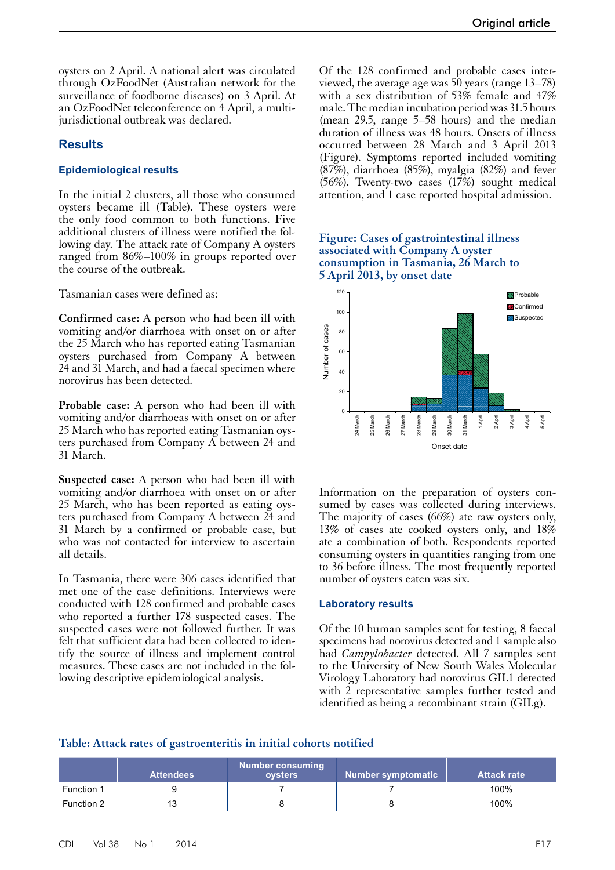oysters on 2 April. A national alert was circulated through OzFoodNet (Australian network for the surveillance of foodborne diseases) on 3 April. At an OzFoodNet teleconference on 4 April, a multijurisdictional outbreak was declared.

#### **Results**

#### **Epidemiological results**

In the initial 2 clusters, all those who consumed oysters became ill (Table). These oysters were the only food common to both functions. Five additional clusters of illness were notified the following day. The attack rate of Company A oysters ranged from 86%–100% in groups reported over the course of the outbreak.

Tasmanian cases were defined as:

**Confirmed case:** A person who had been ill with vomiting and/or diarrhoea with onset on or after the 25 March who has reported eating Tasmanian oysters purchased from Company A between 24 and 31 March, and had a faecal specimen where norovirus has been detected.

**Probable case:** A person who had been ill with vomiting and/or diarrhoeas with onset on or after 25 March who has reported eating Tasmanian oysters purchased from Company A between 24 and 31 March.

**Suspected case:** A person who had been ill with vomiting and/or diarrhoea with onset on or after 25 March, who has been reported as eating oys- ters purchased from Company A between 24 and 31 March by a confirmed or probable case, but who was not contacted for interview to ascertain all details.

In Tasmania, there were 306 cases identified that met one of the case definitions. Interviews were conducted with 128 confirmed and probable cases who reported a further 178 suspected cases. The suspected cases were not followed further. It was felt that sufficient data had been collected to iden- tify the source of illness and implement control measures. These cases are not included in the fol- lowing descriptive epidemiological analysis.

Of the 128 confirmed and probable cases interviewed, the average age was 50 years (range 13–78) with a sex distribution of 53% female and 47% male. The median incubation period was 31.5hours (mean 29.5, range 5–58 hours) and the median duration of illness was 48 hours. Onsets of illness occurred between 28 March and 3 April 2013 (Figure). Symptoms reported included vomiting (87%), diarrhoea (85%), myalgia (82%) and fever (56%). Twenty-two cases (17%) sought medical attention, and 1 case reported hospital admission.

#### **Figure: Cases of gastrointestinal illness associated with Company A oyster consumption in Tasmania, 26 March to 5 April 2013, by onset date**



Information on the preparation of oysters con- sumed by cases was collected during interviews. The majority of cases (66%) ate raw oysters only, 13% of cases ate cooked oysters only, and 18% ate a combination of both. Respondents reported consuming oysters in quantities ranging from one to 36 before illness. The most frequently reported number of oysters eaten was six.

#### **Laboratory results**

Of the 10 human samples sent for testing, 8 faecal specimens had norovirus detected and 1 sample also had *Campylobacter* detected. All 7 samples sent to the University of New South Wales Molecular Virology Laboratory had norovirus GII.1 detected with 2 representative samples further tested and identified as being a recombinant strain (GII.g).

#### **Table: Attack rates of gastroenteritis in initial cohorts notified**

|                   | <b>Attendees</b> | Number consuming<br>oysters | Number symptomatic | <b>Attack rate</b> |
|-------------------|------------------|-----------------------------|--------------------|--------------------|
| <b>Function 1</b> |                  |                             |                    | 100%               |
| Function 2        |                  |                             |                    | 100%               |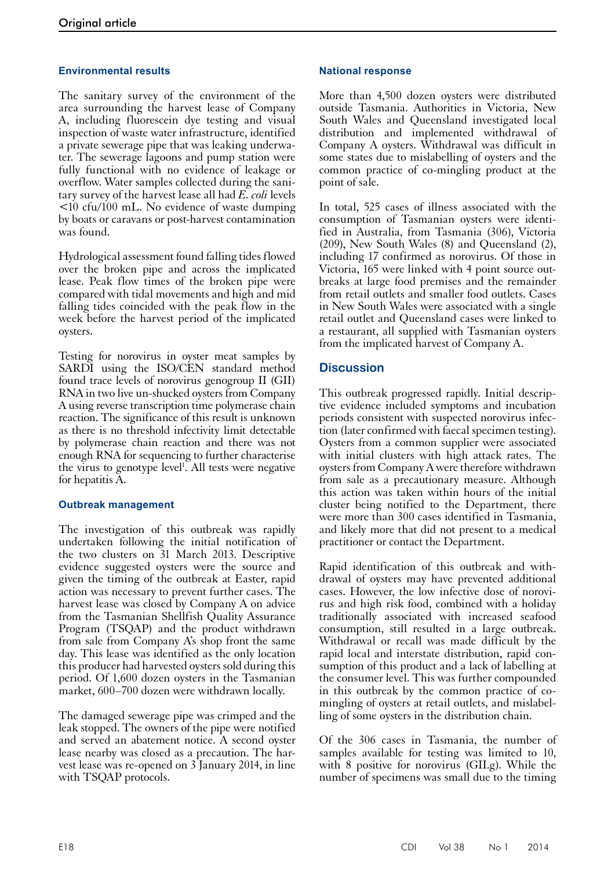# **Environmental results**

The sanitary survey of the environment of the area surrounding the harvest lease of Company A, including fluorescein dye testing and visual inspection of waste water infrastructure, identified a private sewerage pipe that was leaking underwater. The sewerage lagoons and pump station were fully functional with no evidence of leakage or overflow. Water samples collected during the sanitary survey of the harvest lease all had *E. coli* levels <10 cfu/100 mL. No evidence of waste dumping by boats or caravans or post-harvest contamination was found.

Hydrological assessment found falling tides flowed over the broken pipe and across the implicated lease. Peak flow times of the broken pipe were compared with tidal movements and high and mid falling tides coincided with the peak flow in the week before the harvest period of the implicated oysters.

Testing for norovirus in oyster meat samples by SARDI using the ISO/CEN standard method found trace levels of norovirus genogroup II (GII) RNA in two live un-shucked oysters from Company A using reverse transcription time polymerase chain reaction. The significance of this result is unknown as there is no threshold infectivity limit detectable by polymerase chain reaction and there was not enough RNA for sequencing to further characterise the virus to genotype level<sup>1</sup>. All tests were negative for hepatitis A.

#### **Outbreak management**

The investigation of this outbreak was rapidly undertaken following the initial notification of the two clusters on 31 March 2013. Descriptive evidence suggested oysters were the source and given the timing of the outbreak at Easter, rapid action was necessary to prevent further cases. The harvest lease was closed by Company A on advice from the Tasmanian Shellfish Quality Assurance Program (TSQAP) and the product withdrawn from sale from Company A's shop front the same day. This lease was identified as the only location this producer had harvested oysters sold during this period. Of 1,600 dozen oysters in the Tasmanian market, 600–700 dozen were withdrawn locally.

The damaged sewerage pipe was crimped and the leak stopped. The owners of the pipe were notified and served an abatement notice. A second oyster lease nearby was closed as a precaution. The harvest lease was re-opened on 3 January 2014, in line with TSQAP protocols.

#### **National response**

More than 4,500 dozen oysters were distributed outside Tasmania. Authorities in Victoria, New South Wales and Queensland investigated local distribution and implemented withdrawal of Company A oysters. Withdrawal was difficult in some states due to mislabelling of oysters and the common practice of co-mingling product at the point of sale.

In total, 525 cases of illness associated with the consumption of Tasmanian oysters were identified in Australia, from Tasmania (306), Victoria (209), New South Wales (8) and Queensland (2), including 17 confirmed as norovirus. Of those in Victoria, 165 were linked with 4 point source outbreaks at large food premises and the remainder from retail outlets and smaller food outlets. Cases in New South Wales were associated with a single retail outlet and Queensland cases were linked to a restaurant, all supplied with Tasmanian oysters from the implicated harvest of Company A.

# **Discussion**

This outbreak progressed rapidly. Initial descriptive evidence included symptoms and incubation periods consistent with suspected norovirus infection (later confirmed with faecal specimen testing). Oysters from a common supplier were associated with initial clusters with high attack rates. The oysters from Company A were therefore withdrawn from sale as a precautionary measure. Although this action was taken within hours of the initial cluster being notified to the Department, there were more than 300 cases identified in Tasmania, and likely more that did not present to a medical practitioner or contact the Department.

Rapid identification of this outbreak and with- drawal of oysters may have prevented additional cases. However, the low infective dose of norovi- rus and high risk food, combined with a holiday traditionally associated with increased seafood consumption, still resulted in a large outbreak. Withdrawal or recall was made difficult by the rapid local and interstate distribution, rapid con- sumption of this product and a lack of labelling at the consumer level. This was further compounded in this outbreak by the common practice of comingling of oysters at retail outlets, and mislabelling of some oysters in the distribution chain.

Of the 306 cases in Tasmania, the number of samples available for testing was limited to 10, with 8 positive for norovirus (GII.g). While the number of specimens was small due to the timing